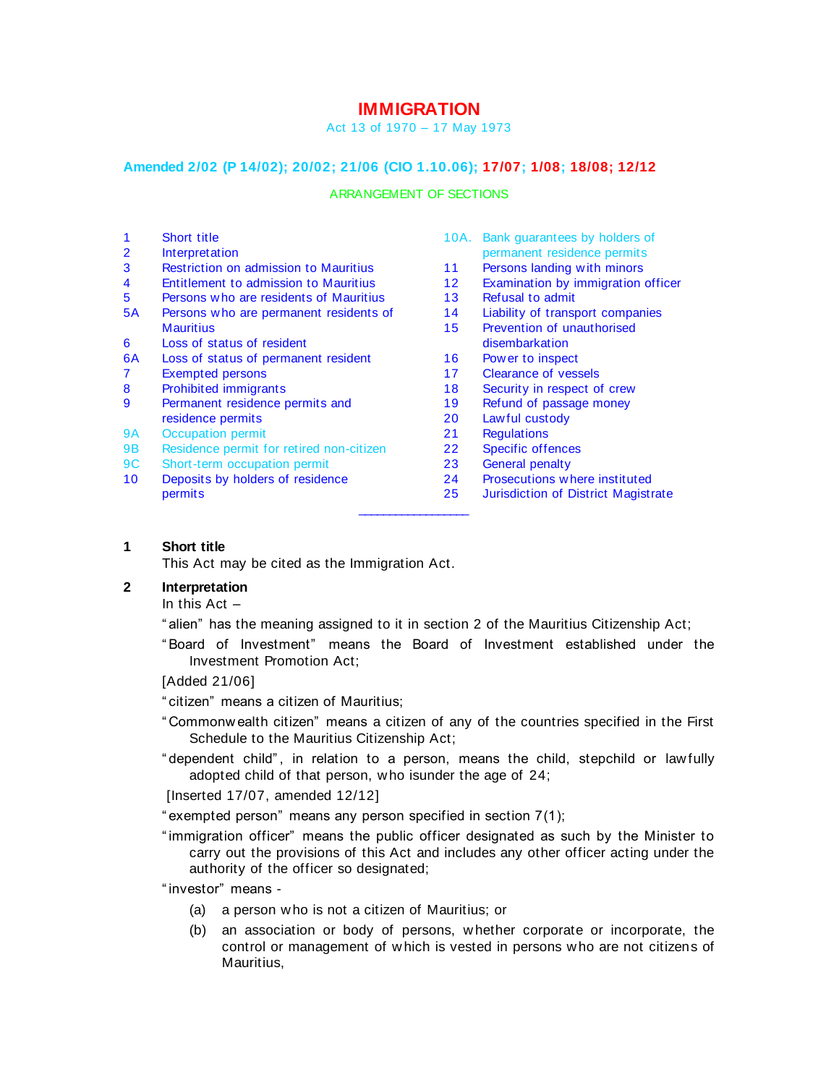# **IMMIGRATION**

#### Act 13 of 1970 – 17 May 1973

### **Amended 2/02 (P 14/02); 20/02; 21/06 (CIO 1.10.06); 17/07; 1/08; 18/08; 12/12**

#### ARRANGEMENT OF SECTIONS

- 1 Short title
- 2 Interpretation
- 3 Restriction on admission to Mauritius
- 4 Entitlement to admission to Mauritius
- 5 Persons w ho are residents of Mauritius
- 5A Persons w ho are permanent residents of **Mauritius**
- 6 Loss of status of resident
- 6A Loss of status of permanent resident
- 7 Exempted persons
- 8 Prohibited immigrants
- 9 Permanent residence permits and residence permits
- 9A Occupation permit
- 9B Residence permit for retired non-citizen
- 9C Short-term occupation permit
- 10 Deposits by holders of residence permits
- 10A. Bank guarantees by holders of permanent residence permits
- 11 Persons landing with minors
- 12 Examination by immigration officer
- 13 Refusal to admit
- 14 Liability of transport companies
- 15 Prevention of unauthorised disembarkation
- 16 Pow er to inspect
- 17 Clearance of vessels
- 18 Security in respect of crew
- 19 Refund of passage money
- 20 Law ful custody
- 21 Regulations
- 22 Specific offences
- 23 General penalty
- 
- 24 Prosecutions w here instituted
- 25 Jurisdiction of District Magistrate  $\overline{\phantom{a}}$  , where  $\overline{\phantom{a}}$

#### **1 Short title**

This Act may be cited as the Immigration Act.

# **2 Interpretation**

In this Act –

" alien" has the meaning assigned to it in section 2 of the Mauritius Citizenship Act;

" Board of Investment" means the Board of Investment established under the Investment Promotion Act;

[Added 21/06]

" citizen" means a citizen of Mauritius;

- " Commonw ealth citizen" means a citizen of any of the countries specified in the First Schedule to the Mauritius Citizenship Act;
- " dependent child" , in relation to a person, means the child, stepchild or law fully adopted child of that person, who isunder the age of 24;

[Inserted 17/07, amended 12/12]

" exempted person" means any person specified in section 7(1);

" immigration officer" means the public officer designated as such by the Minister to carry out the provisions of this Act and includes any other officer acting under the authority of the officer so designated;

" investor" means -

- (a) a person w ho is not a citizen of Mauritius; or
- (b) an association or body of persons, w hether corporate or incorporate, the control or management of w hich is vested in persons w ho are not citizens of Mauritius,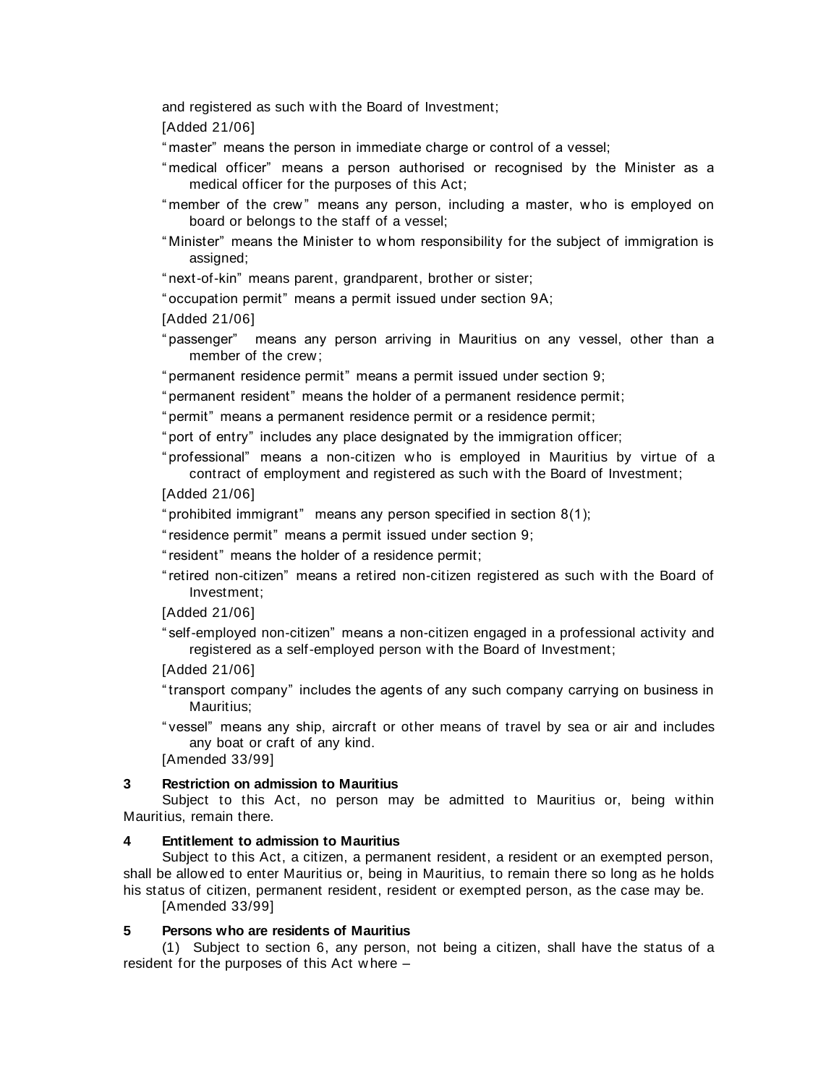and registered as such w ith the Board of Investment;

[Added 21/06]

" master" means the person in immediate charge or control of a vessel;

- " medical officer" means a person authorised or recognised by the Minister as a medical officer for the purposes of this Act;
- " member of the crew " means any person, including a master, who is employed on board or belongs to the staff of a vessel;
- " Minister" means the Minister to w hom responsibility for the subject of immigration is assigned;

" next-of-kin" means parent, grandparent, brother or sister;

" occupation permit" means a permit issued under section 9A;

[Added 21/06]

" passenger" means any person arriving in Mauritius on any vessel, other than a member of the crew ;

" permanent residence permit" means a permit issued under section 9;

" permanent resident" means the holder of a permanent residence permit;

" permit" means a permanent residence permit or a residence permit;

" port of entry" includes any place designated by the immigration officer;

" professional" means a non-citizen w ho is employed in Mauritius by virtue of a contract of employment and registered as such w ith the Board of Investment;

[Added 21/06]

" prohibited immigrant" means any person specified in section 8(1);

" residence permit" means a permit issued under section 9;

" resident" means the holder of a residence permit;

" retired non-citizen" means a retired non-citizen registered as such w ith the Board of Investment;

[Added 21/06]

" self-employed non-citizen" means a non-citizen engaged in a professional activity and registered as a self-employed person w ith the Board of Investment;

[Added 21/06]

" transport company" includes the agents of any such company carrying on business in Mauritius;

" vessel" means any ship, aircraft or other means of travel by sea or air and includes any boat or craft of any kind.

[Amended 33/99]

#### **3 Restriction on admission to Mauritius**

Subject to this Act, no person may be admitted to Mauritius or, being within Mauritius, remain there.

#### **4 Entitlement to admission to Mauritius**

Subject to this Act, a citizen, a permanent resident, a resident or an exempted person, shall be allow ed to enter Mauritius or, being in Mauritius, to remain there so long as he holds his status of citizen, permanent resident, resident or exempted person, as the case may be.

[Amended 33/99]

### **5 Persons who are residents of Mauritius**

(1) Subject to section 6, any person, not being a citizen, shall have the status of a resident for the purposes of this Act w here –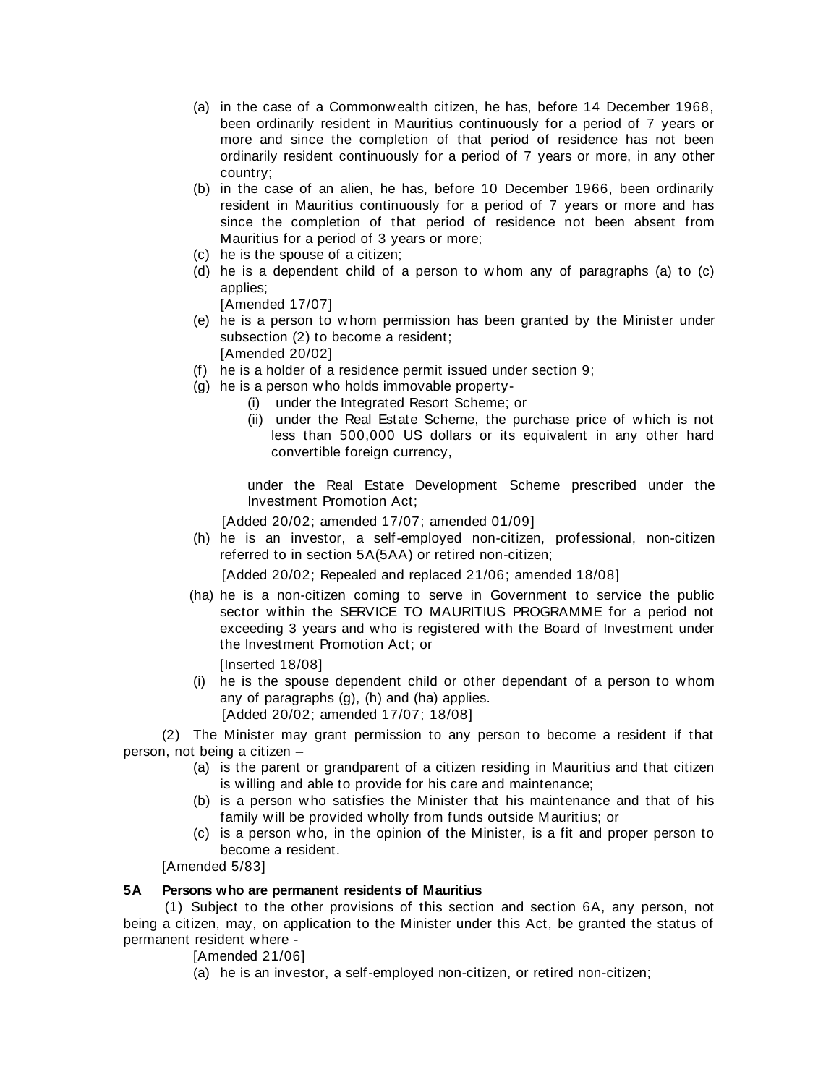- (a) in the case of a Commonw ealth citizen, he has, before 14 December 1968, been ordinarily resident in Mauritius continuously for a period of 7 years or more and since the completion of that period of residence has not been ordinarily resident continuously for a period of 7 years or more, in any other country;
- (b) in the case of an alien, he has, before 10 December 1966, been ordinarily resident in Mauritius continuously for a period of 7 years or more and has since the completion of that period of residence not been absent from Mauritius for a period of 3 years or more;
- (c) he is the spouse of a citizen;
- (d) he is a dependent child of a person to w hom any of paragraphs (a) to (c) applies;

[Amended 17/07]

(e) he is a person to w hom permission has been granted by the Minister under subsection (2) to become a resident;

[Amended 20/02]

- (f) he is a holder of a residence permit issued under section 9;
- (g) he is a person w ho holds immovable property-
	- (i) under the Integrated Resort Scheme; or
	- (ii) under the Real Estate Scheme, the purchase price of w hich is not less than 500,000 US dollars or its equivalent in any other hard convertible foreign currency,

under the Real Estate Development Scheme prescribed under the Investment Promotion Act;

[Added 20/02; amended 17/07; amended 01/09]

(h) he is an investor, a self-employed non-citizen, professional, non-citizen referred to in section 5A(5AA) or retired non-citizen;

[Added 20/02; Repealed and replaced 21/06; amended 18/08]

(ha) he is a non-citizen coming to serve in Government to service the public sector within the SERVICE TO MAURITIUS PROGRAMME for a period not exceeding 3 years and who is registered w ith the Board of Investment under the Investment Promotion Act; or

[Inserted 18/08]

(i) he is the spouse dependent child or other dependant of a person to w hom any of paragraphs (g), (h) and (ha) applies. [Added 20/02; amended 17/07; 18/08]

(2) The Minister may grant permission to any person to become a resident if that person, not being a citizen –

- (a) is the parent or grandparent of a citizen residing in Mauritius and that citizen is w illing and able to provide for his care and maintenance;
- (b) is a person w ho satisfies the Minister that his maintenance and that of his family w ill be provided w holly from funds outside Mauritius; or
- (c) is a person w ho, in the opinion of the Minister, is a fit and proper person to become a resident.

[Amended 5/83]

# **5A Persons who are permanent residents of Mauritius**

(1) Subject to the other provisions of this section and section 6A, any person, not being a citizen, may, on application to the Minister under this Act, be granted the status of permanent resident where -

[Amended 21/06]

(a) he is an investor, a self-employed non-citizen, or retired non-citizen;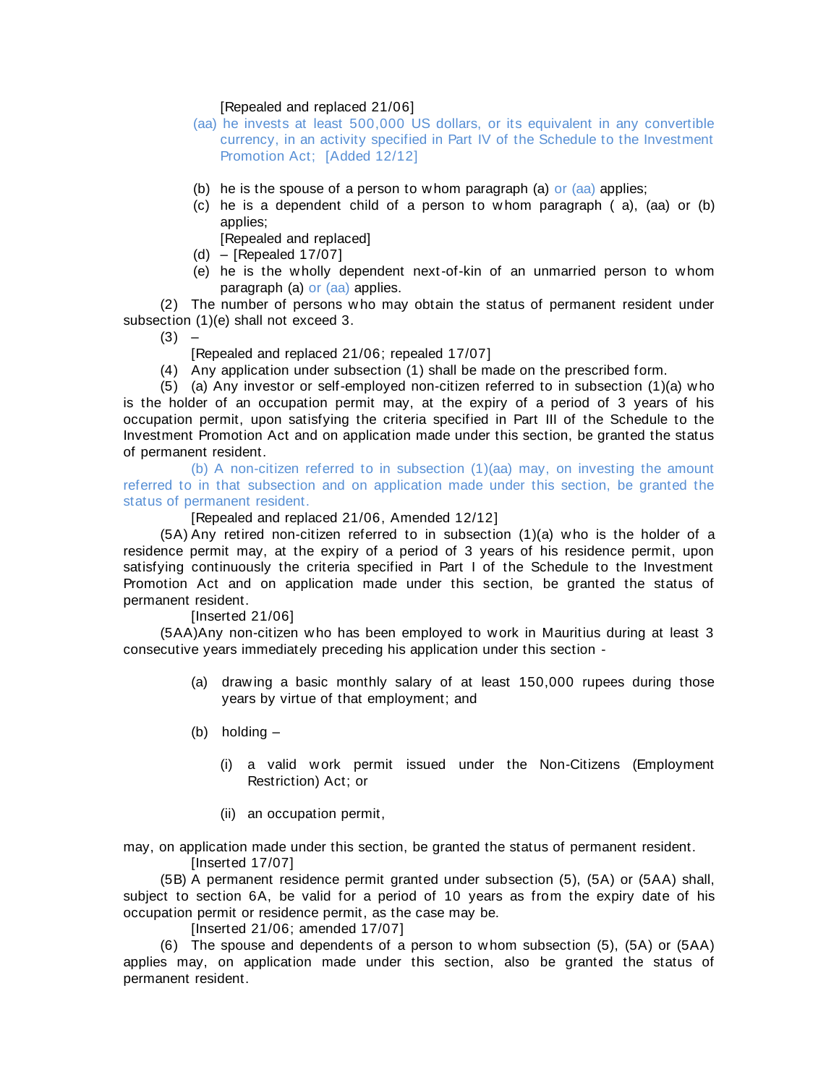### [Repealed and replaced 21/06]

- (aa) he invests at least 500,000 US dollars, or its equivalent in any convertible currency, in an activity specified in Part IV of the Schedule to the Investment Promotion Act; [Added 12/12]
- (b) he is the spouse of a person to w hom paragraph (a) or (aa) applies;
- (c) he is a dependent child of a person to w hom paragraph ( a), (aa) or (b) applies;

[Repealed and replaced]

- (d) [Repealed 17/07]
- (e) he is the w holly dependent next-of-kin of an unmarried person to w hom paragraph (a) or (aa) applies.

(2) The number of persons w ho may obtain the status of permanent resident under subsection (1)(e) shall not exceed 3.

 $(3) -$ 

[Repealed and replaced 21/06; repealed 17/07]

(4) Any application under subsection (1) shall be made on the prescribed form.

(5) (a) Any investor or self-employed non-citizen referred to in subsection (1)(a) w ho is the holder of an occupation permit may, at the expiry of a period of 3 years of his occupation permit, upon satisfying the criteria specified in Part III of the Schedule to the Investment Promotion Act and on application made under this section, be granted the status of permanent resident.

(b) A non-citizen referred to in subsection (1)(aa) may, on investing the amount referred to in that subsection and on application made under this section, be granted the status of permanent resident.

#### [Repealed and replaced 21/06, Amended 12/12]

(5A) Any retired non-citizen referred to in subsection (1)(a) w ho is the holder of a residence permit may, at the expiry of a period of 3 years of his residence permit, upon satisfying continuously the criteria specified in Part I of the Schedule to the Investment Promotion Act and on application made under this section, be granted the status of permanent resident.

# [Inserted 21/06]

(5AA)Any non-citizen w ho has been employed to w ork in Mauritius during at least 3 consecutive years immediately preceding his application under this section -

- (a) draw ing a basic monthly salary of at least 150,000 rupees during those years by virtue of that employment; and
- (b) holding
	- (i) a valid w ork permit issued under the Non-Citizens (Employment Restriction) Act; or
	- (ii) an occupation permit,

may, on application made under this section, be granted the status of permanent resident. [Inserted 17/07]

(5B) A permanent residence permit granted under subsection (5), (5A) or (5AA) shall, subject to section 6A, be valid for a period of 10 years as from the expiry date of his occupation permit or residence permit, as the case may be.

[Inserted 21/06; amended 17/07]

(6) The spouse and dependents of a person to w hom subsection (5), (5A) or (5AA) applies may, on application made under this section, also be granted the status of permanent resident.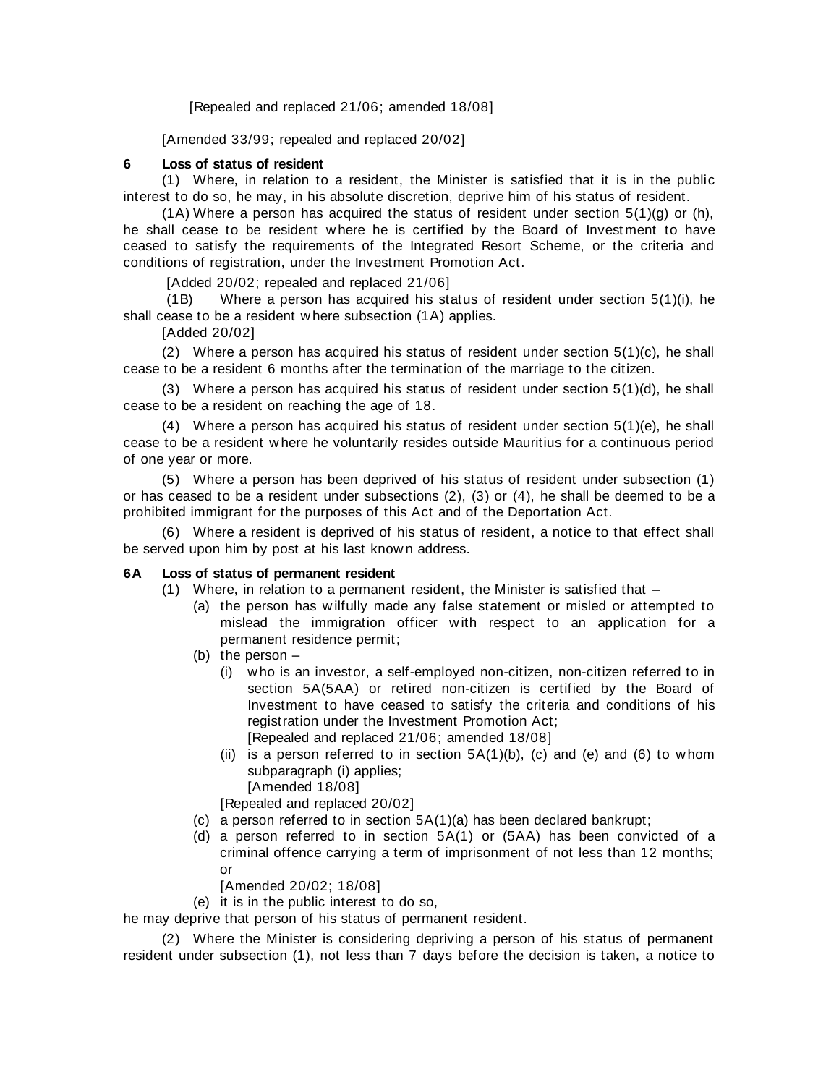[Repealed and replaced 21/06; amended 18/08]

[Amended 33/99; repealed and replaced 20/02]

# **6 Loss of status of resident**

(1) Where, in relation to a resident, the Minister is satisfied that it is in the public interest to do so, he may, in his absolute discretion, deprive him of his status of resident.

 $(1)$  Where a person has acquired the status of resident under section  $5(1)(q)$  or (h), he shall cease to be resident w here he is certified by the Board of Invest ment to have ceased to satisfy the requirements of the Integrated Resort Scheme, or the criteria and conditions of registration, under the Investment Promotion Act.

[Added 20/02; repealed and replaced 21/06]

(1B) Where a person has acquired his status of resident under section 5(1)(i), he shall cease to be a resident w here subsection (1A) applies.

[Added 20/02]

(2) Where a person has acquired his status of resident under section 5(1)(c), he shall cease to be a resident 6 months after the termination of the marriage to the citizen.

(3) Where a person has acquired his status of resident under section 5(1)(d), he shall cease to be a resident on reaching the age of 18.

(4) Where a person has acquired his status of resident under section 5(1)(e), he shall cease to be a resident w here he voluntarily resides outside Mauritius for a continuous period of one year or more.

(5) Where a person has been deprived of his status of resident under subsection (1) or has ceased to be a resident under subsections (2), (3) or (4), he shall be deemed to be a prohibited immigrant for the purposes of this Act and of the Deportation Act.

(6) Where a resident is deprived of his status of resident, a notice to that effect shall be served upon him by post at his last known address.

# **6A Loss of status of permanent resident**

(1) Where, in relation to a permanent resident, the Minister is satisfied that –

- (a) the person has w ilfully made any false statement or misled or attempted to mislead the immigration officer w ith respect to an application for a permanent residence permit;
- (b) the person
	- (i) w ho is an investor, a self-employed non-citizen, non-citizen referred to in section 5A(5AA) or retired non-citizen is certified by the Board of Investment to have ceased to satisfy the criteria and conditions of his registration under the Investment Promotion Act; [Repealed and replaced 21/06; amended 18/08]
	- (ii) is a person referred to in section  $5A(1)(b)$ , (c) and (e) and (6) to whom subparagraph (i) applies; [Amended 18/08]

[Repealed and replaced 20/02]

- (c) a person referred to in section 5A(1)(a) has been declared bankrupt;
- (d) a person referred to in section 5A(1) or (5AA) has been convicted of a criminal offence carrying a term of imprisonment of not less than 12 months; or

[Amended 20/02; 18/08]

(e) it is in the public interest to do so,

he may deprive that person of his status of permanent resident.

(2) Where the Minister is considering depriving a person of his status of permanent resident under subsection (1), not less than 7 days before the decision is taken, a notice to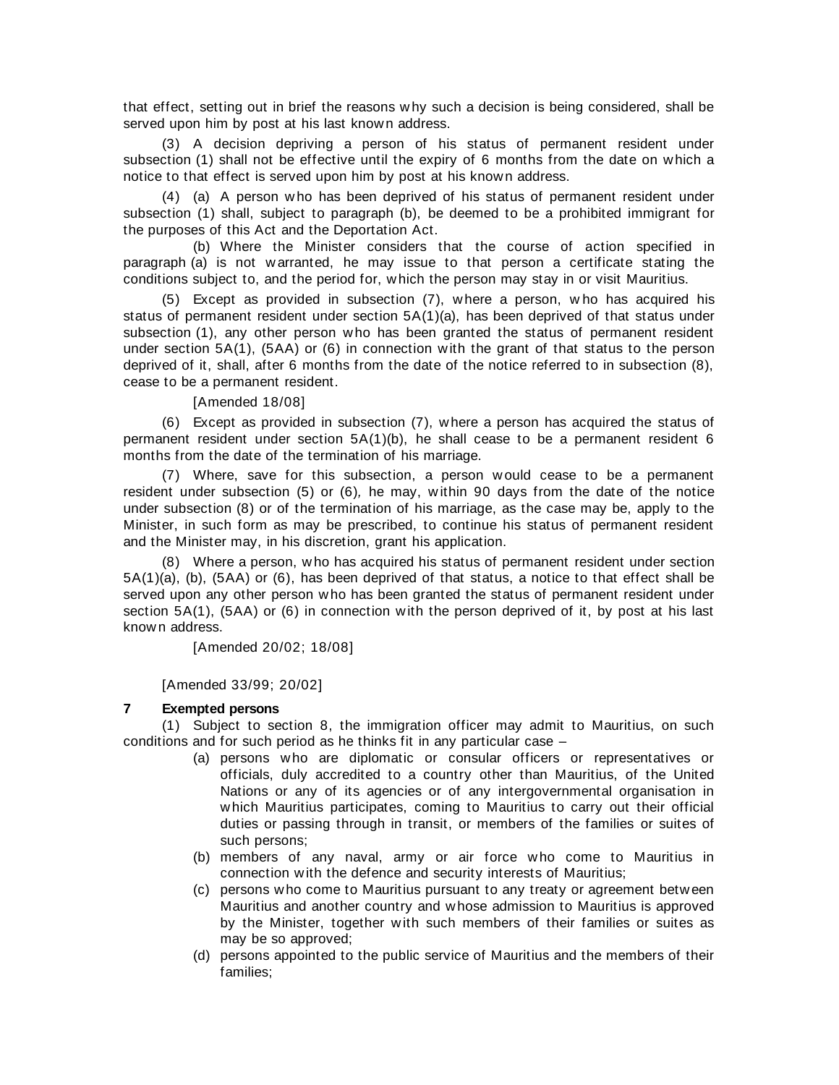that effect, setting out in brief the reasons w hy such a decision is being considered, shall be served upon him by post at his last known address.

(3) A decision depriving a person of his status of permanent resident under subsection (1) shall not be effective until the expiry of 6 months from the date on w hich a notice to that effect is served upon him by post at his known address.

(4) (a) A person w ho has been deprived of his status of permanent resident under subsection (1) shall, subject to paragraph (b), be deemed to be a prohibited immigrant for the purposes of this Act and the Deportation Act.

(b) Where the Minister considers that the course of action specified in paragraph (a) is not w arranted, he may issue to that person a certificate stating the conditions subject to, and the period for, w hich the person may stay in or visit Mauritius.

(5) Except as provided in subsection (7), w here a person, w ho has acquired his status of permanent resident under section 5A(1)(a), has been deprived of that status under subsection (1), any other person who has been granted the status of permanent resident under section 5A(1), (5AA) or (6) in connection w ith the grant of that status to the person deprived of it, shall, after 6 months from the date of the notice referred to in subsection (8), cease to be a permanent resident.

[Amended 18/08]

(6) Except as provided in subsection (7), w here a person has acquired the status of permanent resident under section 5A(1)(b), he shall cease to be a permanent resident 6 months from the date of the termination of his marriage.

(7) Where, save for this subsection, a person w ould cease to be a permanent resident under subsection (5) or (6)*,* he may, w ithin 90 days from the date of the notice under subsection (8) or of the termination of his marriage, as the case may be, apply to the Minister, in such form as may be prescribed, to continue his status of permanent resident and the Minister may, in his discretion, grant his application.

(8) Where a person, w ho has acquired his status of permanent resident under section 5A(1)(a), (b), (5AA) or (6), has been deprived of that status, a notice to that effect shall be served upon any other person w ho has been granted the status of permanent resident under section 5A(1), (5AA) or (6) in connection with the person deprived of it, by post at his last know n address.

[Amended 20/02; 18/08]

[Amended 33/99; 20/02]

# **7 Exempted persons**

(1) Subject to section 8, the immigration officer may admit to Mauritius, on such conditions and for such period as he thinks fit in any particular case –

- (a) persons w ho are diplomatic or consular officers or representatives or officials, duly accredited to a country other than Mauritius, of the United Nations or any of its agencies or of any intergovernmental organisation in w hich Mauritius participates, coming to Mauritius to carry out their official duties or passing through in transit, or members of the families or suites of such persons;
- (b) members of any naval, army or air force w ho come to Mauritius in connection w ith the defence and security interests of Mauritius;
- (c) persons w ho come to Mauritius pursuant to any treaty or agreement betw een Mauritius and another country and w hose admission to Mauritius is approved by the Minister, together w ith such members of their families or suites as may be so approved;
- (d) persons appointed to the public service of Mauritius and the members of their families;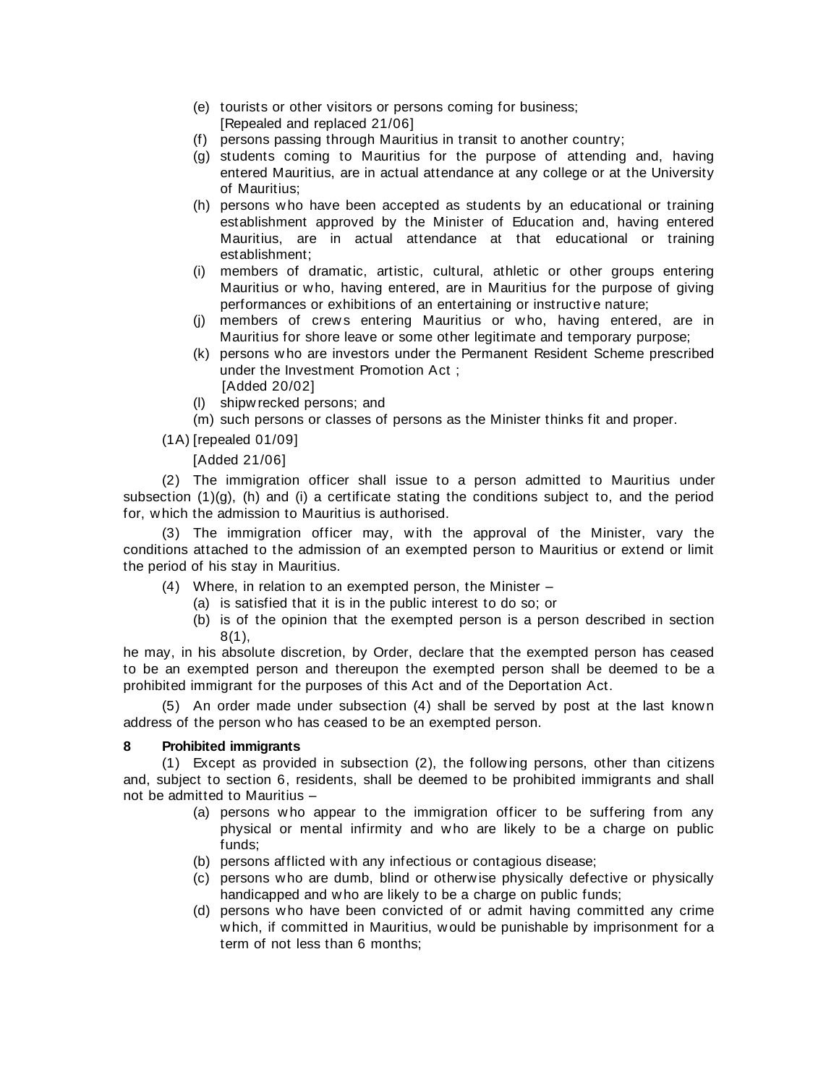- (e) tourists or other visitors or persons coming for business;
- [Repealed and replaced 21/06]
- (f) persons passing through Mauritius in transit to another country;
- (g) students coming to Mauritius for the purpose of attending and, having entered Mauritius, are in actual attendance at any college or at the University of Mauritius;
- (h) persons w ho have been accepted as students by an educational or training establishment approved by the Minister of Education and, having entered Mauritius, are in actual attendance at that educational or training establishment;
- (i) members of dramatic, artistic, cultural, athletic or other groups entering Mauritius or w ho, having entered, are in Mauritius for the purpose of giving performances or exhibitions of an entertaining or instructive nature;
- (i) members of crews entering Mauritius or who, having entered, are in Mauritius for shore leave or some other legitimate and temporary purpose;
- (k) persons w ho are investors under the Permanent Resident Scheme prescribed under the Investment Promotion Act ; [Added 20/02]
- (l) shipw recked persons; and
- (m) such persons or classes of persons as the Minister thinks fit and proper.

(1A) [repealed 01/09]

[Added 21/06]

(2) The immigration officer shall issue to a person admitted to Mauritius under subsection (1)(g), (h) and (i) a certificate stating the conditions subject to, and the period for, w hich the admission to Mauritius is authorised.

(3) The immigration officer may, w ith the approval of the Minister, vary the conditions attached to the admission of an exempted person to Mauritius or extend or limit the period of his stay in Mauritius.

- (4) Where, in relation to an exempted person, the Minister
	- (a) is satisfied that it is in the public interest to do so; or
	- (b) is of the opinion that the exempted person is a person described in section 8(1),

he may, in his absolute discretion, by Order, declare that the exempted person has ceased to be an exempted person and thereupon the exempted person shall be deemed to be a prohibited immigrant for the purposes of this Act and of the Deportation Act.

(5) An order made under subsection (4) shall be served by post at the last know n address of the person w ho has ceased to be an exempted person.

# **8 Prohibited immigrants**

(1) Except as provided in subsection (2), the follow ing persons, other than citizens and, subject to section 6, residents, shall be deemed to be prohibited immigrants and shall not be admitted to Mauritius –

- (a) persons w ho appear to the immigration officer to be suffering from any physical or mental infirmity and w ho are likely to be a charge on public funds;
- (b) persons afflicted w ith any infectious or contagious disease;
- (c) persons w ho are dumb, blind or otherw ise physically defective or physically handicapped and w ho are likely to be a charge on public funds;
- (d) persons w ho have been convicted of or admit having committed any crime w hich, if committed in Mauritius, w ould be punishable by imprisonment for a term of not less than 6 months;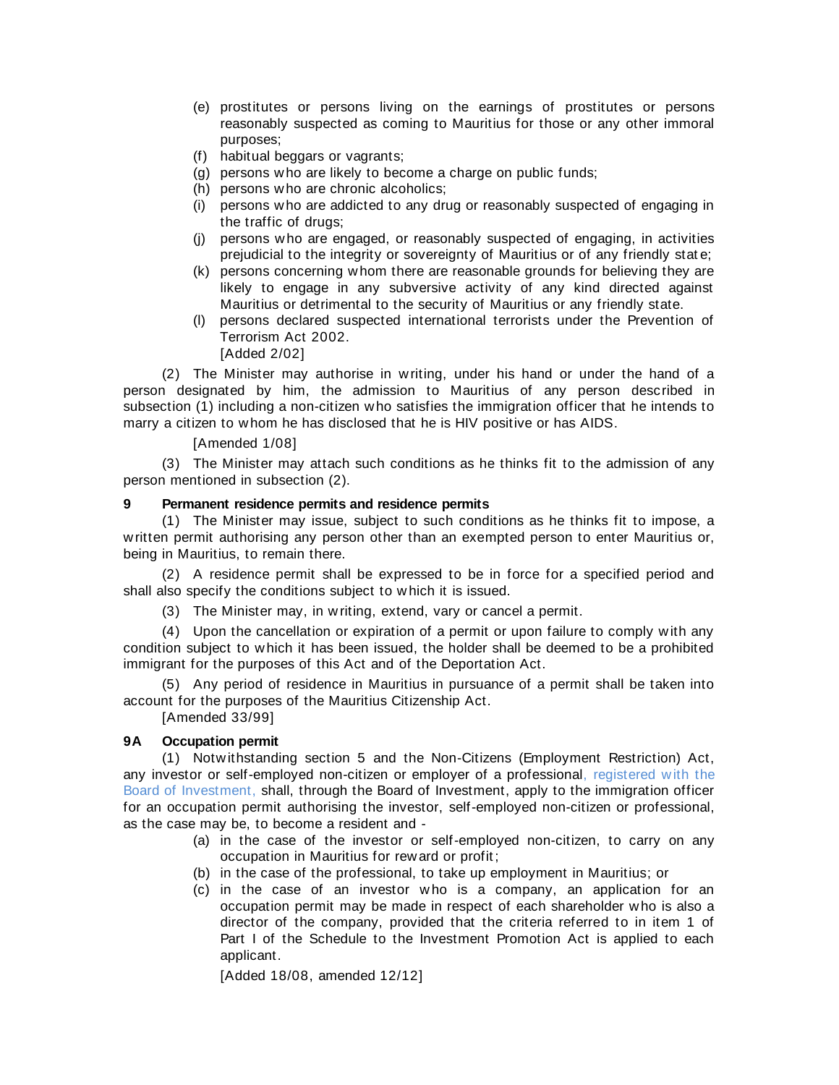- (e) prostitutes or persons living on the earnings of prostitutes or persons reasonably suspected as coming to Mauritius for those or any other immoral purposes;
- (f) habitual beggars or vagrants;
- (g) persons w ho are likely to become a charge on public funds;
- (h) persons w ho are chronic alcoholics;
- (i) persons w ho are addicted to any drug or reasonably suspected of engaging in the traffic of drugs;
- (j) persons w ho are engaged, or reasonably suspected of engaging, in activities prejudicial to the integrity or sovereignty of Mauritius or of any friendly stat e;
- (k) persons concerning w hom there are reasonable grounds for believing they are likely to engage in any subversive activity of any kind directed against Mauritius or detrimental to the security of Mauritius or any friendly state.
- (l) persons declared suspected international terrorists under the Prevention of Terrorism Act 2002.

[Added 2/02]

(2) The Minister may authorise in w riting, under his hand or under the hand of a person designated by him, the admission to Mauritius of any person described in subsection (1) including a non-citizen w ho satisfies the immigration officer that he intends to marry a citizen to w hom he has disclosed that he is HIV positive or has AIDS.

# [Amended 1/08]

(3) The Minister may attach such conditions as he thinks fit to the admission of any person mentioned in subsection (2).

# **9 Permanent residence permits and residence permits**

(1) The Minister may issue, subject to such conditions as he thinks fit to impose, a w ritten permit authorising any person other than an exempted person to enter Mauritius or, being in Mauritius, to remain there.

(2) A residence permit shall be expressed to be in force for a specified period and shall also specify the conditions subject to w hich it is issued.

(3) The Minister may, in w riting, extend, vary or cancel a permit.

(4) Upon the cancellation or expiration of a permit or upon failure to comply w ith any condition subject to w hich it has been issued, the holder shall be deemed to be a prohibited immigrant for the purposes of this Act and of the Deportation Act.

(5) Any period of residence in Mauritius in pursuance of a permit shall be taken into account for the purposes of the Mauritius Citizenship Act.

[Amended 33/99]

# **9A Occupation permit**

(1) Notw ithstanding section 5 and the Non-Citizens (Employment Restriction) Act, any investor or self-employed non-citizen or employer of a professional, registered w ith the Board of Investment, shall, through the Board of Investment, apply to the immigration officer for an occupation permit authorising the investor, self-employed non-citizen or professional, as the case may be, to become a resident and -

- (a) in the case of the investor or self-employed non-citizen, to carry on any occupation in Mauritius for rew ard or profit ;
- (b) in the case of the professional, to take up employment in Mauritius; or
- (c) in the case of an investor w ho is a company, an application for an occupation permit may be made in respect of each shareholder who is also a director of the company, provided that the criteria referred to in item 1 of Part I of the Schedule to the Investment Promotion Act is applied to each applicant.

[Added 18/08, amended 12/12]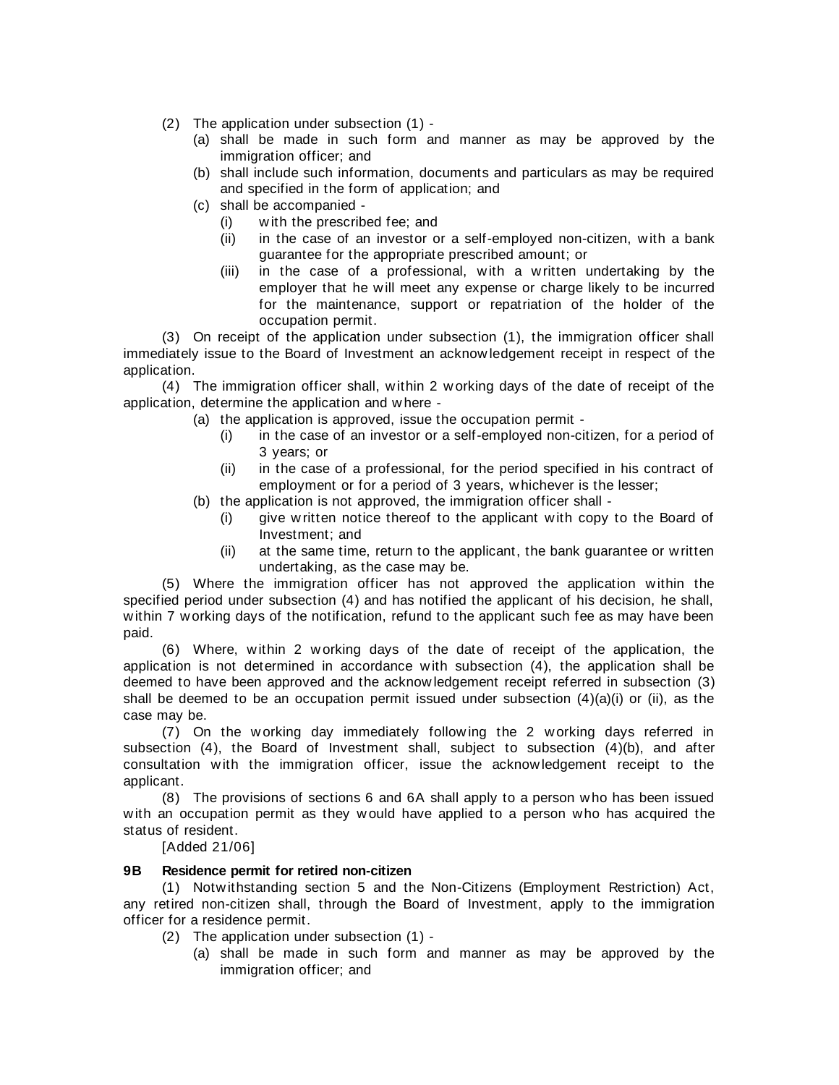(2) The application under subsection (1) -

- (a) shall be made in such form and manner as may be approved by the immigration officer; and
- (b) shall include such information, documents and particulars as may be required and specified in the form of application; and
- (c) shall be accompanied
	- (i) w ith the prescribed fee; and
	- (ii) in the case of an investor or a self-employed non-citizen, w ith a bank guarantee for the appropriate prescribed amount; or
	- (iii) in the case of a professional, w ith a w ritten undertaking by the employer that he will meet any expense or charge likely to be incurred for the maintenance, support or repatriation of the holder of the occupation permit.

(3) On receipt of the application under subsection (1), the immigration officer shall immediately issue to the Board of Investment an acknow ledgement receipt in respect of the application.

(4) The immigration officer shall, w ithin 2 w orking days of the date of receipt of the application, determine the application and w here -

- (a) the application is approved, issue the occupation permit
	- (i) in the case of an investor or a self-employed non-citizen, for a period of 3 years; or
	- (ii) in the case of a professional, for the period specified in his contract of employment or for a period of 3 years, w hichever is the lesser;
- (b) the application is not approved, the immigration officer shall
	- (i) give w ritten notice thereof to the applicant w ith copy to the Board of Investment; and
	- (ii) at the same time, return to the applicant, the bank guarantee or w ritten undertaking, as the case may be.

(5) Where the immigration officer has not approved the application w ithin the specified period under subsection (4) and has notified the applicant of his decision, he shall, w ithin 7 w orking days of the notification, refund to the applicant such fee as may have been paid.

(6) Where, w ithin 2 w orking days of the date of receipt of the application, the application is not determined in accordance w ith subsection (4), the application shall be deemed to have been approved and the acknow ledgement receipt referred in subsection (3) shall be deemed to be an occupation permit issued under subsection (4)(a)(i) or (ii), as the case may be.

(7) On the w orking day immediately follow ing the 2 w orking days referred in subsection (4), the Board of Investment shall, subject to subsection (4)(b), and after consultation w ith the immigration officer, issue the acknow ledgement receipt to the applicant.

(8) The provisions of sections 6 and 6A shall apply to a person w ho has been issued w ith an occupation permit as they w ould have applied to a person who has acquired the status of resident.

[Added 21/06]

# **9B Residence permit for retired non-citizen**

(1) Notw ithstanding section 5 and the Non-Citizens (Employment Restriction) Act, any retired non-citizen shall, through the Board of Investment, apply to the immigration officer for a residence permit.

- (2) The application under subsection (1)
	- (a) shall be made in such form and manner as may be approved by the immigration officer; and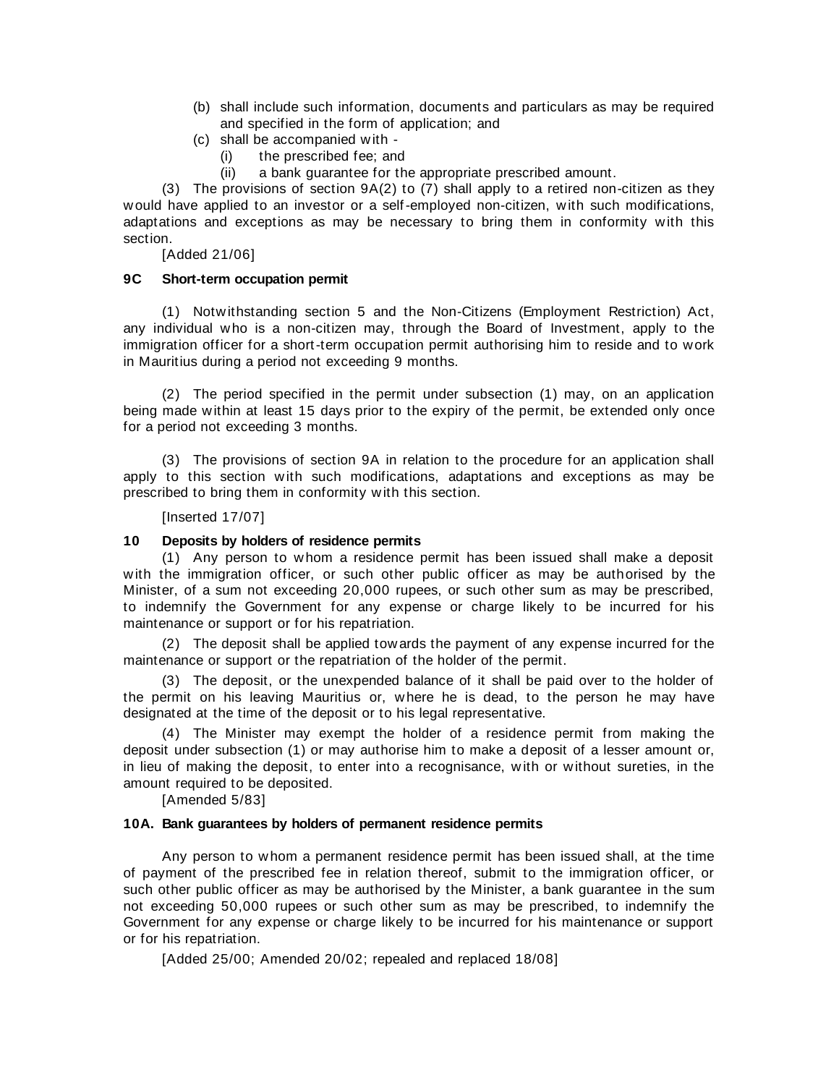- (b) shall include such information, documents and particulars as may be required and specified in the form of application; and
- (c) shall be accompanied w ith
	- (i) the prescribed fee; and
	- (ii) a bank guarantee for the appropriate prescribed amount.

(3) The provisions of section  $9A(2)$  to (7) shall apply to a retired non-citizen as they w ould have applied to an investor or a self-employed non-citizen, w ith such modifications, adaptations and exceptions as may be necessary to bring them in conformity with this section.

[Added 21/06]

### **9C Short-term occupation permit**

(1) Notw ithstanding section 5 and the Non-Citizens (Employment Restriction) Act, any individual w ho is a non-citizen may, through the Board of Investment, apply to the immigration officer for a short-term occupation permit authorising him to reside and to work in Mauritius during a period not exceeding 9 months.

(2) The period specified in the permit under subsection (1) may, on an application being made w ithin at least 15 days prior to the expiry of the permit, be extended only once for a period not exceeding 3 months.

(3) The provisions of section 9A in relation to the procedure for an application shall apply to this section with such modifications, adaptations and exceptions as may be prescribed to bring them in conformity w ith this section.

#### [Inserted 17/07]

#### **10 Deposits by holders of residence permits**

(1) Any person to w hom a residence permit has been issued shall make a deposit w ith the immigration officer, or such other public officer as may be authorised by the Minister, of a sum not exceeding 20,000 rupees, or such other sum as may be prescribed, to indemnify the Government for any expense or charge likely to be incurred for his maintenance or support or for his repatriation.

(2) The deposit shall be applied tow ards the payment of any expense incurred for the maintenance or support or the repatriation of the holder of the permit.

(3) The deposit, or the unexpended balance of it shall be paid over to the holder of the permit on his leaving Mauritius or, w here he is dead, to the person he may have designated at the time of the deposit or to his legal representative.

(4) The Minister may exempt the holder of a residence permit from making the deposit under subsection (1) or may authorise him to make a deposit of a lesser amount or, in lieu of making the deposit, to enter into a recognisance, w ith or w ithout sureties, in the amount required to be deposited.

[Amended 5/83]

#### **10A. Bank guarantees by holders of permanent residence permits**

Any person to whom a permanent residence permit has been issued shall, at the time of payment of the prescribed fee in relation thereof, submit to the immigration officer, or such other public officer as may be authorised by the Minister, a bank guarantee in the sum not exceeding 50,000 rupees or such other sum as may be prescribed, to indemnify the Government for any expense or charge likely to be incurred for his maintenance or support or for his repatriation.

[Added 25/00; Amended 20/02; repealed and replaced 18/08]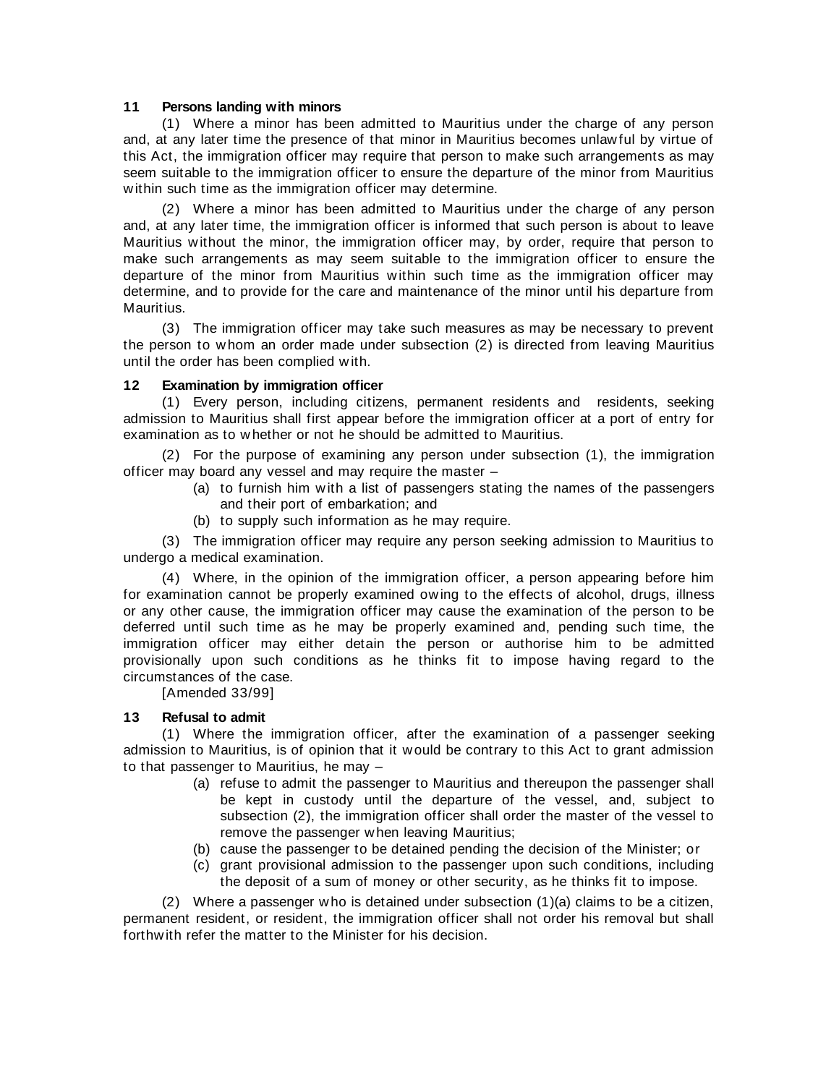### **11 Persons landing with minors**

(1) Where a minor has been admitted to Mauritius under the charge of any person and, at any later time the presence of that minor in Mauritius becomes unlaw ful by virtue of this Act, the immigration officer may require that person to make such arrangements as may seem suitable to the immigration officer to ensure the departure of the minor from Mauritius w ithin such time as the immigration officer may determine.

(2) Where a minor has been admitted to Mauritius under the charge of any person and, at any later time, the immigration officer is informed that such person is about to leave Mauritius w ithout the minor, the immigration officer may, by order, require that person to make such arrangements as may seem suitable to the immigration officer to ensure the departure of the minor from Mauritius within such time as the immigration officer may determine, and to provide for the care and maintenance of the minor until his departure from Mauritius.

(3) The immigration officer may take such measures as may be necessary to prevent the person to w hom an order made under subsection (2) is directed from leaving Mauritius until the order has been complied w ith.

#### **12 Examination by immigration officer**

(1) Every person, including citizens, permanent residents and residents, seeking admission to Mauritius shall first appear before the immigration officer at a port of entry for examination as to w hether or not he should be admitted to Mauritius.

(2) For the purpose of examining any person under subsection (1), the immigration officer may board any vessel and may require the master –

- (a) to furnish him w ith a list of passengers stating the names of the passengers and their port of embarkation; and
- (b) to supply such information as he may require.

(3) The immigration officer may require any person seeking admission to Mauritius to undergo a medical examination.

(4) Where, in the opinion of the immigration officer, a person appearing before him for examination cannot be properly examined ow ing to the effects of alcohol, drugs, illness or any other cause, the immigration officer may cause the examination of the person to be deferred until such time as he may be properly examined and, pending such time, the immigration officer may either detain the person or authorise him to be admitted provisionally upon such conditions as he thinks fit to impose having regard to the circumstances of the case.

[Amended 33/99]

# **13 Refusal to admit**

(1) Where the immigration officer, after the examination of a passenger seeking admission to Mauritius, is of opinion that it w ould be contrary to this Act to grant admission to that passenger to Mauritius, he may –

- (a) refuse to admit the passenger to Mauritius and thereupon the passenger shall be kept in custody until the departure of the vessel, and, subject to subsection (2), the immigration officer shall order the master of the vessel to remove the passenger when leaving Mauritius;
- (b) cause the passenger to be detained pending the decision of the Minister; or
- (c) grant provisional admission to the passenger upon such conditions, including the deposit of a sum of money or other security, as he thinks fit to impose.

(2) Where a passenger w ho is detained under subsection (1)(a) claims to be a citizen, permanent resident, or resident, the immigration officer shall not order his removal but shall forthw ith refer the matter to the Minister for his decision.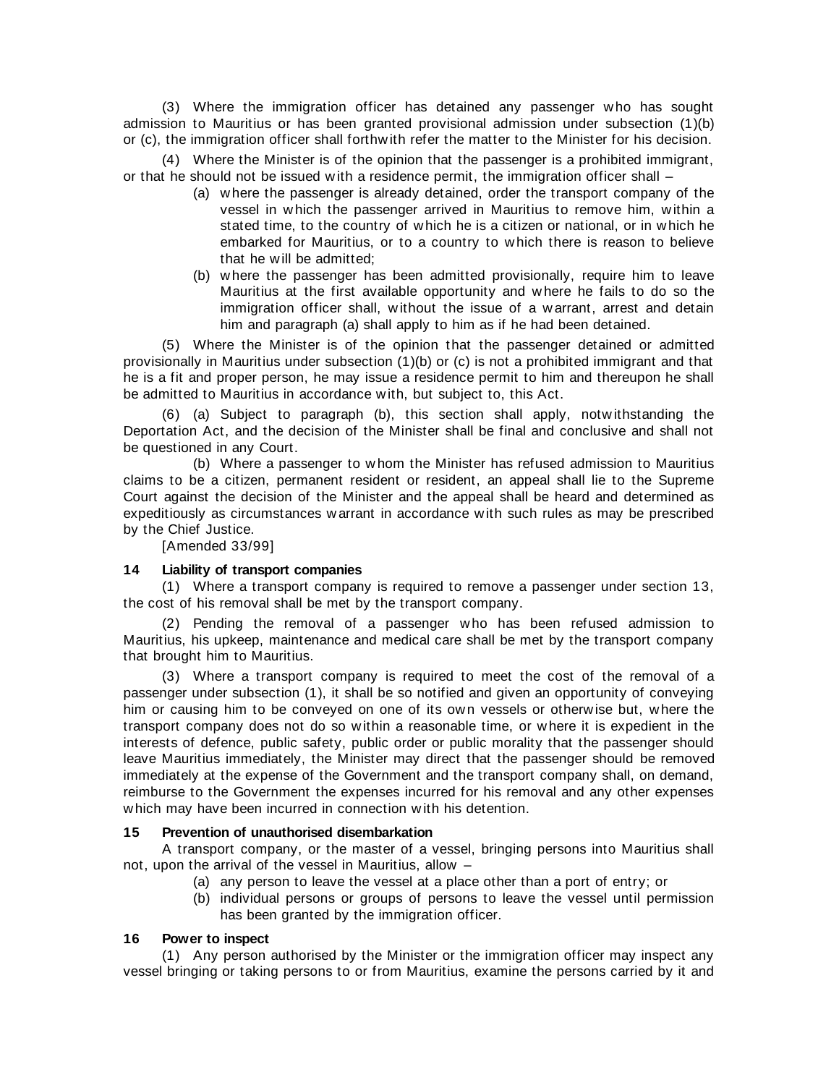(3) Where the immigration officer has detained any passenger w ho has sought admission to Mauritius or has been granted provisional admission under subsection (1)(b) or (c), the immigration officer shall forthw ith refer the matter to the Minister for his decision.

(4) Where the Minister is of the opinion that the passenger is a prohibited immigrant, or that he should not be issued w ith a residence permit, the immigration officer shall –

- (a) w here the passenger is already detained, order the transport company of the vessel in w hich the passenger arrived in Mauritius to remove him, w ithin a stated time, to the country of w hich he is a citizen or national, or in w hich he embarked for Mauritius, or to a country to w hich there is reason to believe that he w ill be admitted;
- (b) w here the passenger has been admitted provisionally, require him to leave Mauritius at the first available opportunity and w here he fails to do so the immigration officer shall, without the issue of a warrant, arrest and detain him and paragraph (a) shall apply to him as if he had been detained.

(5) Where the Minister is of the opinion that the passenger detained or admitted provisionally in Mauritius under subsection (1)(b) or (c) is not a prohibited immigrant and that he is a fit and proper person, he may issue a residence permit to him and thereupon he shall be admitted to Mauritius in accordance w ith, but subject to, this Act.

(6) (a) Subject to paragraph (b), this section shall apply, notw ithstanding the Deportation Act, and the decision of the Minister shall be final and conclusive and shall not be questioned in any Court.

(b) Where a passenger to w hom the Minister has refused admission to Mauritius claims to be a citizen, permanent resident or resident, an appeal shall lie to the Supreme Court against the decision of the Minister and the appeal shall be heard and determined as expeditiously as circumstances w arrant in accordance w ith such rules as may be prescribed by the Chief Justice.

[Amended 33/99]

# **14 Liability of transport companies**

(1) Where a transport company is required to remove a passenger under section 13, the cost of his removal shall be met by the transport company.

(2) Pending the removal of a passenger w ho has been refused admission to Mauritius, his upkeep, maintenance and medical care shall be met by the transport company that brought him to Mauritius.

(3) Where a transport company is required to meet the cost of the removal of a passenger under subsection (1), it shall be so notified and given an opportunity of conveying him or causing him to be conveyed on one of its own vessels or otherwise but, where the transport company does not do so w ithin a reasonable time, or w here it is expedient in the interests of defence, public safety, public order or public morality that the passenger should leave Mauritius immediately, the Minister may direct that the passenger should be removed immediately at the expense of the Government and the transport company shall, on demand, reimburse to the Government the expenses incurred for his removal and any other expenses w hich may have been incurred in connection w ith his detention.

# **15 Prevention of unauthorised disembarkation**

A transport company, or the master of a vessel, bringing persons into Mauritius shall not, upon the arrival of the vessel in Mauritius, allow –

- (a) any person to leave the vessel at a place other than a port of entry; or
- (b) individual persons or groups of persons to leave the vessel until permission has been granted by the immigration officer.

# **16 Power to inspect**

(1) Any person authorised by the Minister or the immigration officer may inspect any vessel bringing or taking persons to or from Mauritius, examine the persons carried by it and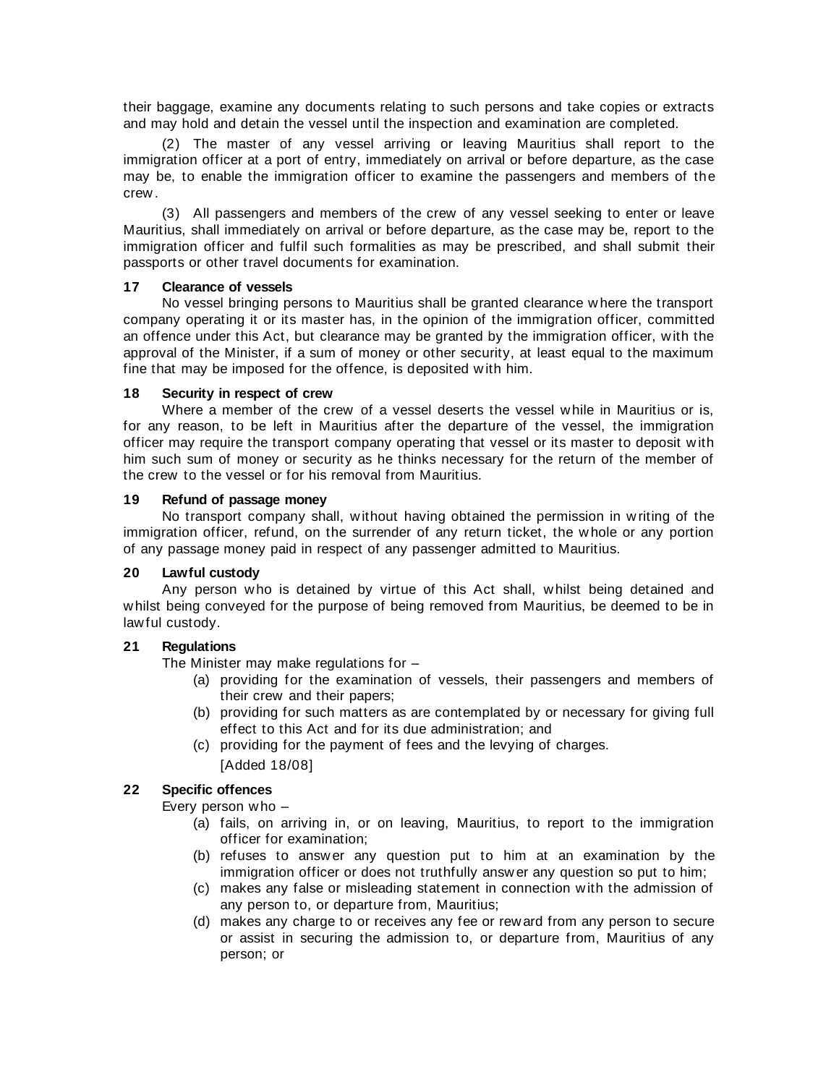their baggage, examine any documents relating to such persons and take copies or extracts and may hold and detain the vessel until the inspection and examination are completed.

(2) The master of any vessel arriving or leaving Mauritius shall report to the immigration officer at a port of entry, immediately on arrival or before departure, as the case may be, to enable the immigration officer to examine the passengers and members of the crew .

(3) All passengers and members of the crew of any vessel seeking to enter or leave Mauritius, shall immediately on arrival or before departure, as the case may be, report to the immigration officer and fulfil such formalities as may be prescribed, and shall submit their passports or other travel documents for examination.

# **17 Clearance of vessels**

No vessel bringing persons to Mauritius shall be granted clearance w here the transport company operating it or its master has, in the opinion of the immigration officer, committed an offence under this Act, but clearance may be granted by the immigration officer, w ith the approval of the Minister, if a sum of money or other security, at least equal to the maximum fine that may be imposed for the offence, is deposited w ith him.

#### **18 Security in respect of crew**

Where a member of the crew of a vessel deserts the vessel w hile in Mauritius or is, for any reason, to be left in Mauritius after the departure of the vessel, the immigration officer may require the transport company operating that vessel or its master to deposit w ith him such sum of money or security as he thinks necessary for the return of the member of the crew to the vessel or for his removal from Mauritius.

#### **19 Refund of passage money**

No transport company shall, w ithout having obtained the permission in w riting of the immigration officer, refund, on the surrender of any return ticket, the w hole or any portion of any passage money paid in respect of any passenger admitted to Mauritius.

# **20 Lawful custody**

Any person w ho is detained by virtue of this Act shall, w hilst being detained and w hilst being conveyed for the purpose of being removed from Mauritius, be deemed to be in law ful custody.

# **21 Regulations**

The Minister may make regulations for –

- (a) providing for the examination of vessels, their passengers and members of their crew and their papers;
- (b) providing for such matters as are contemplated by or necessary for giving full effect to this Act and for its due administration; and
- (c) providing for the payment of fees and the levying of charges.

# [Added 18/08]

# **22 Specific offences**

Every person w ho –

- (a) fails, on arriving in, or on leaving, Mauritius, to report to the immigration officer for examination;
- (b) refuses to answ er any question put to him at an examination by the immigration officer or does not truthfully answ er any question so put to him;
- (c) makes any false or misleading statement in connection w ith the admission of any person to, or departure from, Mauritius;
- (d) makes any charge to or receives any fee or reward from any person to secure or assist in securing the admission to, or departure from, Mauritius of any person; or